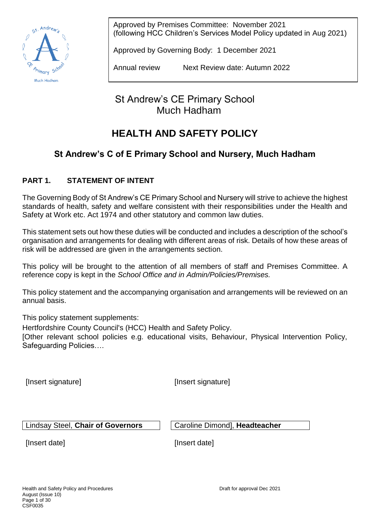

Approved by Premises Committee: November 2021 (following HCC Children's Services Model Policy updated in Aug 2021)

Approved by Governing Body: 1 December 2021

Annual review Next Review date: Autumn 2022

St Andrew's CE Primary School Much Hadham

# **HEALTH AND SAFETY POLICY**

# **St Andrew's C of E Primary School and Nursery, Much Hadham**

# **PART 1. STATEMENT OF INTENT**

The Governing Body of St Andrew's CE Primary School and Nursery will strive to achieve the highest standards of health, safety and welfare consistent with their responsibilities under the Health and Safety at Work etc. Act 1974 and other statutory and common law duties.

This statement sets out how these duties will be conducted and includes a description of the school's organisation and arrangements for dealing with different areas of risk. Details of how these areas of risk will be addressed are given in the arrangements section.

This policy will be brought to the attention of all members of staff and Premises Committee. A reference copy is kept in the *School Office and in Admin/Policies/Premises.*

This policy statement and the accompanying organisation and arrangements will be reviewed on an annual basis.

This policy statement supplements:

Hertfordshire County Council's (HCC) Health and Safety Policy.

[Other relevant school policies e.g. educational visits, Behaviour, Physical Intervention Policy, Safeguarding Policies….

[Insert signature] [Insert signature]

Lindsay Steel, Chair of Governors | Caroline Dimond], Headteacher

[Insert date] [Insert date]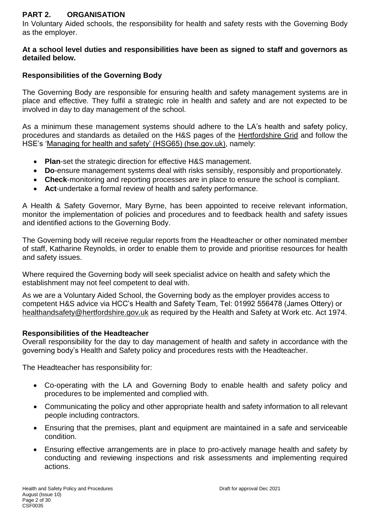# **PART 2. ORGANISATION**

In Voluntary Aided schools, the responsibility for health and safety rests with the Governing Body as the employer.

### **At a school level duties and responsibilities have been as signed to staff and governors as detailed below.**

# **Responsibilities of the Governing Body**

The Governing Body are responsible for ensuring health and safety management systems are in place and effective. They fulfil a strategic role in health and safety and are not expected to be involved in day to day management of the school.

As a minimum these management systems should adhere to the LA's health and safety policy, procedures and standards as detailed on the H&S pages of the [Hertfordshire Grid](https://thegrid.org.uk/health-and-safety-offsite-visits-premises/health-and-safety) and follow the HSE's ['Managing for health and safety' \(HSG65\) \(hse.gov.uk\),](https://www.hse.gov.uk/pubns/books/hsg65.htm) namely:

- **Plan**-set the strategic direction for effective H&S management.
- **Do**-ensure management systems deal with risks sensibly, responsibly and proportionately.
- **Check**-monitoring and reporting processes are in place to ensure the school is compliant.
- **Act**-undertake a formal review of health and safety performance.

A Health & Safety Governor, Mary Byrne, has been appointed to receive relevant information, monitor the implementation of policies and procedures and to feedback health and safety issues and identified actions to the Governing Body.

The Governing body will receive regular reports from the Headteacher or other nominated member of staff, Katharine Reynolds, in order to enable them to provide and prioritise resources for health and safety issues.

Where required the Governing body will seek specialist advice on health and safety which the establishment may not feel competent to deal with.

As we are a Voluntary Aided School, the Governing body as the employer provides access to competent H&S advice via HCC's Health and Safety Team, Tel: 01992 556478 (James Ottery) or [healthandsafety@hertfordshire.gov.uk](mailto:healthandsafety@hertfordshire.gov.uk) as required by the Health and Safety at Work etc. Act 1974.

# **Responsibilities of the Headteacher**

Overall responsibility for the day to day management of health and safety in accordance with the governing body's Health and Safety policy and procedures rests with the Headteacher.

The Headteacher has responsibility for:

- Co-operating with the LA and Governing Body to enable health and safety policy and procedures to be implemented and complied with.
- Communicating the policy and other appropriate health and safety information to all relevant people including contractors.
- Ensuring that the premises, plant and equipment are maintained in a safe and serviceable condition.
- Ensuring effective arrangements are in place to pro-actively manage health and safety by conducting and reviewing inspections and risk assessments and implementing required actions.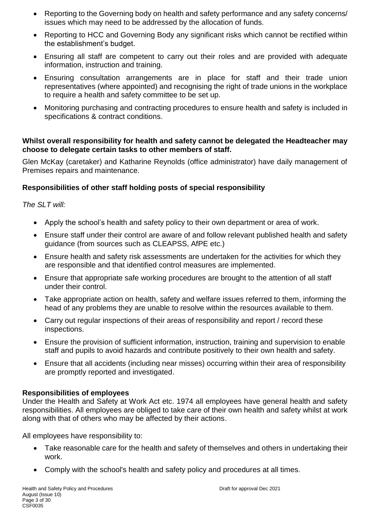- Reporting to the Governing body on health and safety performance and any safety concerns/ issues which may need to be addressed by the allocation of funds.
- Reporting to HCC and Governing Body any significant risks which cannot be rectified within the establishment's budget.
- Ensuring all staff are competent to carry out their roles and are provided with adequate information, instruction and training.
- Ensuring consultation arrangements are in place for staff and their trade union representatives (where appointed) and recognising the right of trade unions in the workplace to require a health and safety committee to be set up.
- Monitoring purchasing and contracting procedures to ensure health and safety is included in specifications & contract conditions.

### **Whilst overall responsibility for health and safety cannot be delegated the Headteacher may choose to delegate certain tasks to other members of staff.**

Glen McKay (caretaker) and Katharine Reynolds (office administrator) have daily management of Premises repairs and maintenance.

# **Responsibilities of other staff holding posts of special responsibility**

# *The SLT will:*

- Apply the school's health and safety policy to their own department or area of work.
- Ensure staff under their control are aware of and follow relevant published health and safety guidance (from sources such as CLEAPSS, AfPE etc.)
- Ensure health and safety risk assessments are undertaken for the activities for which they are responsible and that identified control measures are implemented.
- Ensure that appropriate safe working procedures are brought to the attention of all staff under their control.
- Take appropriate action on health, safety and welfare issues referred to them, informing the head of any problems they are unable to resolve within the resources available to them.
- Carry out regular inspections of their areas of responsibility and report / record these inspections.
- Ensure the provision of sufficient information, instruction, training and supervision to enable staff and pupils to avoid hazards and contribute positively to their own health and safety.
- Ensure that all accidents (including near misses) occurring within their area of responsibility are promptly reported and investigated.

# **Responsibilities of employees**

Under the Health and Safety at Work Act etc. 1974 all employees have general health and safety responsibilities. All employees are obliged to take care of their own health and safety whilst at work along with that of others who may be affected by their actions.

All employees have responsibility to:

- Take reasonable care for the health and safety of themselves and others in undertaking their work.
- Comply with the school's health and safety policy and procedures at all times.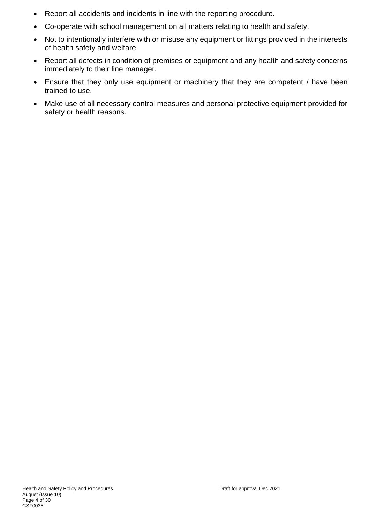- Report all accidents and incidents in line with the reporting procedure.
- Co-operate with school management on all matters relating to health and safety.
- Not to intentionally interfere with or misuse any equipment or fittings provided in the interests of health safety and welfare.
- Report all defects in condition of premises or equipment and any health and safety concerns immediately to their line manager.
- Ensure that they only use equipment or machinery that they are competent / have been trained to use.
- Make use of all necessary control measures and personal protective equipment provided for safety or health reasons.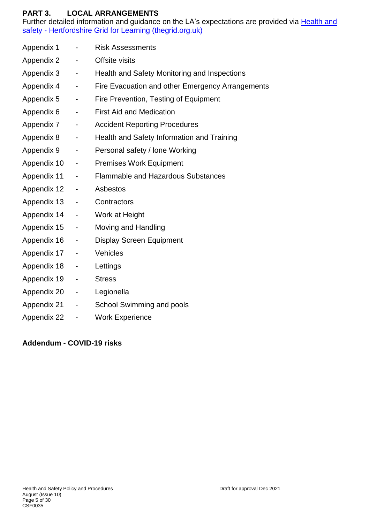# **PART 3. LOCAL ARRANGEMENTS**

Further detailed information and guidance on the LA's expectations are provided via Health and safety - [Hertfordshire Grid for Learning \(thegrid.org.uk\)](https://thegrid.org.uk/health-and-safety-offsite-visits-premises/health-and-safety)

| Appendix 1  | $\overline{\phantom{a}}$ | <b>Risk Assessments</b>                          |
|-------------|--------------------------|--------------------------------------------------|
| Appendix 2  | $\blacksquare$           | Offsite visits                                   |
| Appendix 3  | $\blacksquare$           | Health and Safety Monitoring and Inspections     |
| Appendix 4  | $\overline{\phantom{a}}$ | Fire Evacuation and other Emergency Arrangements |
| Appendix 5  | $\blacksquare$           | Fire Prevention, Testing of Equipment            |
| Appendix 6  | $\overline{\phantom{a}}$ | <b>First Aid and Medication</b>                  |
| Appendix 7  | $\overline{\phantom{a}}$ | <b>Accident Reporting Procedures</b>             |
| Appendix 8  | $\overline{\phantom{a}}$ | Health and Safety Information and Training       |
| Appendix 9  | $\blacksquare$           | Personal safety / lone Working                   |
| Appendix 10 | $\blacksquare$           | <b>Premises Work Equipment</b>                   |
| Appendix 11 | $\overline{\phantom{a}}$ | <b>Flammable and Hazardous Substances</b>        |
| Appendix 12 | $\blacksquare$           | Asbestos                                         |
| Appendix 13 | $\overline{\phantom{a}}$ | Contractors                                      |
| Appendix 14 | $\blacksquare$           | Work at Height                                   |
| Appendix 15 | $\overline{\phantom{a}}$ | Moving and Handling                              |
| Appendix 16 | $\overline{\phantom{a}}$ | <b>Display Screen Equipment</b>                  |
| Appendix 17 | $\overline{\phantom{a}}$ | Vehicles                                         |
| Appendix 18 | $\blacksquare$           | Lettings                                         |
| Appendix 19 | $\blacksquare$           | <b>Stress</b>                                    |
| Appendix 20 | $\blacksquare$           | Legionella                                       |
| Appendix 21 | $\blacksquare$           | School Swimming and pools                        |
| Appendix 22 | $\overline{\phantom{0}}$ | <b>Work Experience</b>                           |

# **Addendum - COVID-19 risks**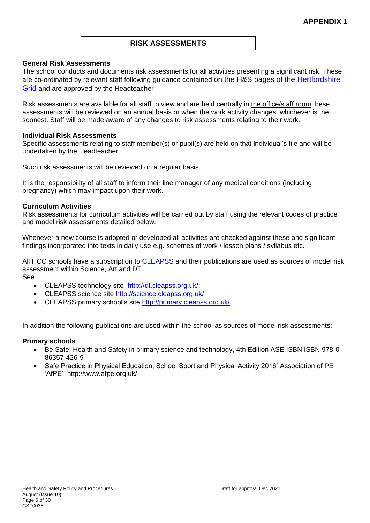### **RISK ASSESSMENTS**

#### **General Risk Assessments**

The school conducts and documents risk assessments for all activities presenting a significant risk. These are co-ordinated by relevant staff following guidance contained on the H&S pages of the Hertfordshire [Grid](https://thegrid.org.uk/health-and-safety-offsite-visits-premises/health-and-safety/risk-assessments) and are approved by the Headteacher

Risk assessments are available for all staff to view and are held centrally in the office/staff room these assessments will be reviewed on an annual basis or when the work activity changes, whichever is the soonest. Staff will be made aware of any changes to risk assessments relating to their work.

#### **Individual Risk Assessments**

Specific assessments relating to staff member(s) or pupil(s) are held on that individual's file and will be undertaken by the Headteacher.

Such risk assessments will be reviewed on a regular basis.

It is the responsibility of all staff to inform their line manager of any medical conditions (including pregnancy) which may impact upon their work.

#### **Curriculum Activities**

Risk assessments for curriculum activities will be carried out by staff using the relevant codes of practice and model risk assessments detailed below.

Whenever a new course is adopted or developed all activities are checked against these and significant findings incorporated into texts in daily use e.g. schemes of work / lesson plans / syllabus etc.

All HCC schools have a subscription to [CLEAPSS](http://www.cleapss.org.uk/) and their publications are used as sources of model risk assessment within Science, Art and DT.

See

- CLEAPSS technology site [http://dt.cleapss.org.uk/;](http://dt.cleapss.org.uk/)
- CLEAPSS science site<http://science.cleapss.org.uk/>
- CLEAPSS primary school's site<http://primary.cleapss.org.uk/>

In addition the following publications are used within the school as sources of model risk assessments:

#### **Primary schools**

- Be Safe! Health and Safety in primary science and technology, 4th Edition ASE ISBN ISBN 978-0- 86357-426-9
- Safe Practice in Physical Education, School Sport and Physical Activity 2016' Association of PE 'AfPE' <http://www.afpe.org.uk/>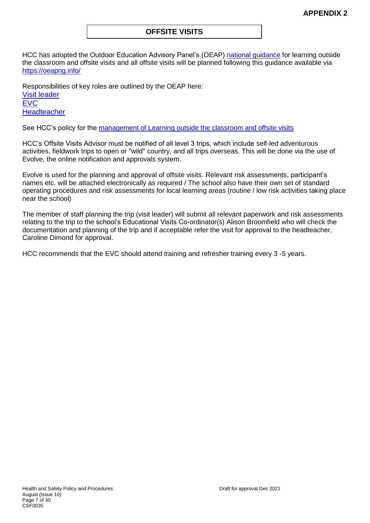### **OFFSITE VISITS**

HCC has adopted the Outdoor Education Advisory Panel's (OEAP) [national guidance](https://oeapng.info/) for learning outside the classroom and offsite visits and all offsite visits will be planned following this guidance available via <https://oeapng.info/>

Responsibilities of key roles are outlined by the OEAP here: [Visit leader](https://oeapng.info/downloads/download-info/3-4k-visit-or-activity-leader) **[EVC](https://oeapng.info/downloads/download-info/3-4j-evc-responsibilities) [Headteacher](https://oeapng.info/downloads/download-info/3-4g-headteacher/)** 

See HCC's policy for the [management of Learning outside the classroom and offsite visits](https://thegrid.org.uk/health-and-safety-offsite-visits-premises/offsite-visits/learning-outside-the-classroom-and-offsite-visits-guidance)

HCC's Offsite Visits Advisor must be notified of all level 3 trips, which include self-led adventurous activities, fieldwork trips to open or "wild" country, and all trips overseas. This will be done via the use of Evolve, the online notification and approvals system.

Evolve is used for the planning and approval of offsite visits. Relevant risk assessments, participant's names etc. will be attached electronically as required / The school also have their own set of standard operating procedures and risk assessments for local learning areas (routine / low risk activities taking place near the school)

The member of staff planning the trip (visit leader) will submit all relevant paperwork and risk assessments relating to the trip to the school's Educational Visits Co-ordinator(s) Alison Broomfield who will check the documentation and planning of the trip and if acceptable refer the visit for approval to the headteacher, Caroline Dimond for approval.

HCC recommends that the EVC should attend training and refresher training every 3 -5 years.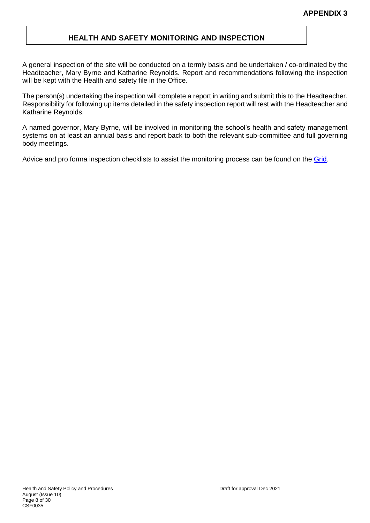### **HEALTH AND SAFETY MONITORING AND INSPECTION**

A general inspection of the site will be conducted on a termly basis and be undertaken / co-ordinated by the Headteacher, Mary Byrne and Katharine Reynolds. Report and recommendations following the inspection will be kept with the Health and safety file in the Office.

The person(s) undertaking the inspection will complete a report in writing and submit this to the Headteacher. Responsibility for following up items detailed in the safety inspection report will rest with the Headteacher and Katharine Reynolds.

A named governor, Mary Byrne, will be involved in monitoring the school's health and safety management systems on at least an annual basis and report back to both the relevant sub-committee and full governing body meetings.

Advice and pro forma inspection checklists to assist the monitoring process can be found on the [Grid.](https://thegrid.org.uk/health-and-safety-offsite-visits-premises/health-and-safety/monitoring-inspection)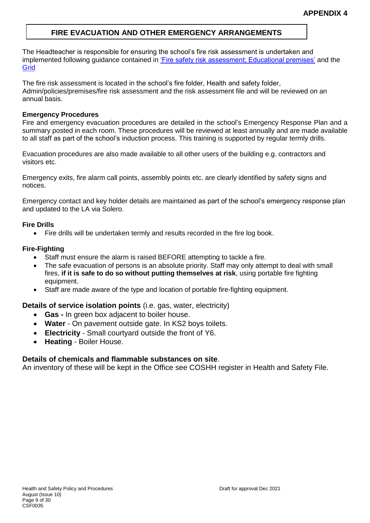# **FIRE EVACUATION AND OTHER EMERGENCY ARRANGEMENTS**

The Headteacher is responsible for ensuring the school's fire risk assessment is undertaken and implemented following guidance contained in ['Fire safety risk assessment; Educational premises'](https://www.gov.uk/government/publications/fire-safety-risk-assessment-educational-premises) and the **[Grid](https://thegrid.org.uk/health-and-safety-offsite-visits-premises/health-and-safety/health-and-safety-topics/fire-safety)** 

The fire risk assessment is located in the school's fire folder, Health and safety folder, Admin/policies/premises/fire risk assessment and the risk assessment file and will be reviewed on an annual basis.

#### **Emergency Procedures**

Fire and emergency evacuation procedures are detailed in the school's Emergency Response Plan and a summary posted in each room. These procedures will be reviewed at least annually and are made available to all staff as part of the school's induction process. This training is supported by regular termly drills.

Evacuation procedures are also made available to all other users of the building e.g. contractors and visitors etc.

Emergency exits, fire alarm call points, assembly points etc. are clearly identified by safety signs and notices.

Emergency contact and key holder details are maintained as part of the school's emergency response plan and updated to the LA via Solero.

### **Fire Drills**

Fire drills will be undertaken termly and results recorded in the fire log book.

### **Fire-Fighting**

- Staff must ensure the alarm is raised BEFORE attempting to tackle a fire.
- The safe evacuation of persons is an absolute priority. Staff may only attempt to deal with small fires, **if it is safe to do so without putting themselves at risk**, using portable fire fighting equipment.
- Staff are made aware of the type and location of portable fire-fighting equipment.

### **Details of service isolation points** (i.e. gas, water, electricity)

- **Gas -** In green box adjacent to boiler house.
- **Water** On pavement outside gate. In KS2 boys toilets.
- **Electricity** Small courtyard outside the front of Y6.
- **Heating**  Boiler House.

### **Details of chemicals and flammable substances on site**.

An inventory of these will be kept in the Office see COSHH register in Health and Safety File.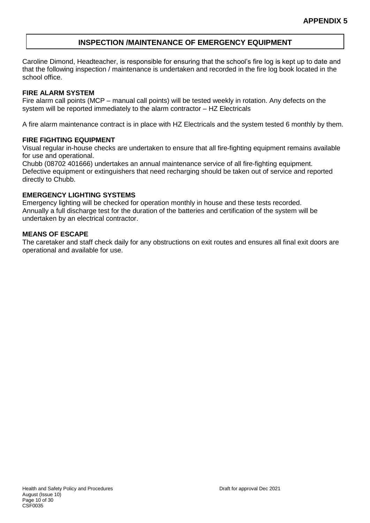# **INSPECTION /MAINTENANCE OF EMERGENCY EQUIPMENT**

Caroline Dimond, Headteacher, is responsible for ensuring that the school's fire log is kept up to date and that the following inspection / maintenance is undertaken and recorded in the fire log book located in the school office.

#### **FIRE ALARM SYSTEM**

Fire alarm call points (MCP – manual call points) will be tested weekly in rotation. Any defects on the system will be reported immediately to the alarm contractor – HZ Electricals

A fire alarm maintenance contract is in place with HZ Electricals and the system tested 6 monthly by them.

#### **FIRE FIGHTING EQUIPMENT**

Visual regular in-house checks are undertaken to ensure that all fire-fighting equipment remains available for use and operational.

Chubb (08702 401666) undertakes an annual maintenance service of all fire-fighting equipment. Defective equipment or extinguishers that need recharging should be taken out of service and reported directly to Chubb.

#### **EMERGENCY LIGHTING SYSTEMS**

Emergency lighting will be checked for operation monthly in house and these tests recorded. Annually a full discharge test for the duration of the batteries and certification of the system will be undertaken by an electrical contractor.

#### **MEANS OF ESCAPE**

The caretaker and staff check daily for any obstructions on exit routes and ensures all final exit doors are operational and available for use.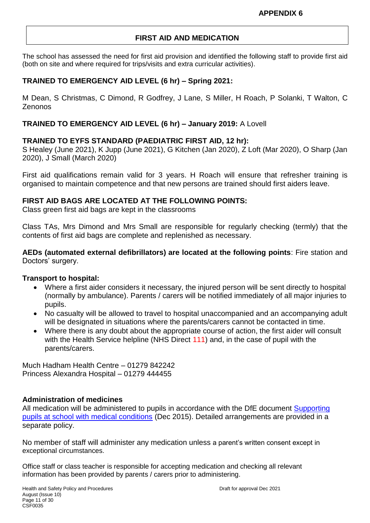# **FIRST AID AND MEDICATION**

The school has assessed the need for first aid provision and identified the following staff to provide first aid (both on site and where required for trips/visits and extra curricular activities).

# **TRAINED TO EMERGENCY AID LEVEL (6 hr) – Spring 2021:**

M Dean, S Christmas, C Dimond, R Godfrey, J Lane, S Miller, H Roach, P Solanki, T Walton, C Zenonos

# **TRAINED TO EMERGENCY AID LEVEL (6 hr) – January 2019:** A Lovell

### **TRAINED TO EYFS STANDARD (PAEDIATRIC FIRST AID, 12 hr):**

S Healey (June 2021), K Jupp (June 2021), G Kitchen (Jan 2020), Z Loft (Mar 2020), O Sharp (Jan 2020), J Small (March 2020)

First aid qualifications remain valid for 3 years. H Roach will ensure that refresher training is organised to maintain competence and that new persons are trained should first aiders leave.

### **FIRST AID BAGS ARE LOCATED AT THE FOLLOWING POINTS:**

Class green first aid bags are kept in the classrooms

Class TAs, Mrs Dimond and Mrs Small are responsible for regularly checking (termly) that the contents of first aid bags are complete and replenished as necessary.

**AEDs (automated external defibrillators) are located at the following points**: Fire station and Doctors' surgery.

### **Transport to hospital:**

- Where a first aider considers it necessary, the injured person will be sent directly to hospital (normally by ambulance). Parents / carers will be notified immediately of all major injuries to pupils.
- No casualty will be allowed to travel to hospital unaccompanied and an accompanying adult will be designated in situations where the parents/carers cannot be contacted in time.
- Where there is any doubt about the appropriate course of action, the first aider will consult with the Health Service helpline (NHS Direct 111) and, in the case of pupil with the parents/carers.

Much Hadham Health Centre – 01279 842242 Princess Alexandra Hospital – 01279 444455

### **Administration of medicines**

All medication will be administered to pupils in accordance with the DfE document [Supporting](https://www.gov.uk/government/publications/supporting-pupils-at-school-with-medical-conditions/)  [pupils at school with medical conditions](https://www.gov.uk/government/publications/supporting-pupils-at-school-with-medical-conditions/) (Dec 2015). Detailed arrangements are provided in a separate policy.

No member of staff will administer any medication unless a parent's written consent except in exceptional circumstances.

Office staff or class teacher is responsible for accepting medication and checking all relevant information has been provided by parents / carers prior to administering.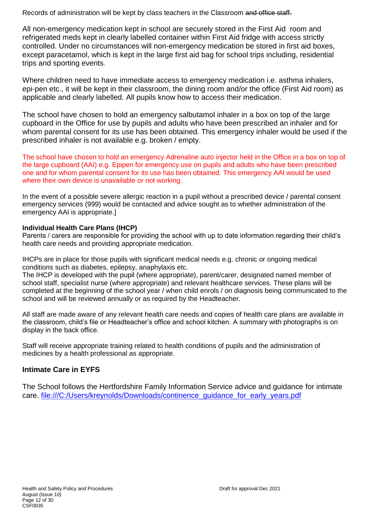Records of administration will be kept by class teachers in the Classroom and office staff.

All non-emergency medication kept in school are securely stored in the First Aid room and refrigerated meds kept in clearly labelled container within First Aid fridge with access strictly controlled. Under no circumstances will non-emergency medication be stored in first aid boxes, except paracetamol, which is kept in the large first aid bag for school trips including, residential trips and sporting events.

Where children need to have immediate access to emergency medication i.e. asthma inhalers, epi-pen etc., it will be kept in their classroom, the dining room and/or the office (First Aid room) as applicable and clearly labelled. All pupils know how to access their medication.

The school have chosen to hold an emergency salbutamol inhaler in a box on top of the large cupboard in the Office for use by pupils and adults who have been prescribed an inhaler and for whom parental consent for its use has been obtained. This emergency inhaler would be used if the prescribed inhaler is not available e.g. broken / empty.

The school have chosen to hold an emergency Adrenaline auto injector held in the Office in a box on top of the large cupboard (AAI) e.g. Epipen for emergency use on pupils and adults who have been prescribed one and for whom parental consent for its use has been obtained. This emergency AAI would be used where their own device is unavailable or not working.

In the event of a possible severe allergic reaction in a pupil without a prescribed device / parental consent emergency services (999) would be contacted and advice sought as to whether administration of the emergency AAI is appropriate.]

### **Individual Health Care Plans (IHCP)**

Parents / carers are responsible for providing the school with up to date information regarding their child's health care needs and providing appropriate medication.

IHCPs are in place for those pupils with significant medical needs e.g. chronic or ongoing medical conditions such as diabetes, epilepsy, anaphylaxis etc.

The IHCP is developed with the pupil (where appropriate), parent/carer, designated named member of school staff, specialist nurse (where appropriate) and relevant healthcare services. These plans will be completed at the beginning of the school year / when child enrols / on diagnosis being communicated to the school and will be reviewed annually or as required by the Headteacher.

All staff are made aware of any relevant health care needs and copies of health care plans are available in the classroom, child's file or Headteacher's office and school kitchen. A summary with photographs is on display in the back office.

Staff will receive appropriate training related to health conditions of pupils and the administration of medicines by a health professional as appropriate.

# **Intimate Care in EYFS**

The School follows the Hertfordshire Family Information Service advice and guidance for intimate care. file:///C:/Users/kreynolds/Downloads/continence\_quidance\_for\_early\_years.pdf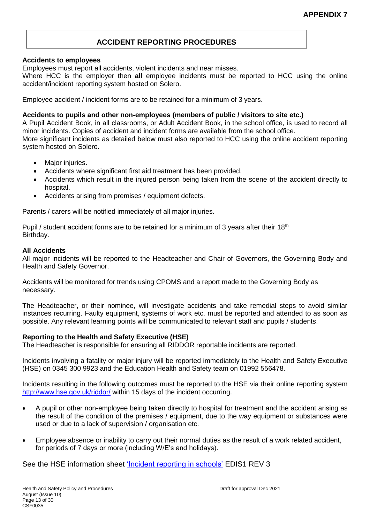# **ACCIDENT REPORTING PROCEDURES**

#### **Accidents to employees**

Employees must report all accidents, violent incidents and near misses.

Where HCC is the employer then **all** employee incidents must be reported to HCC using the online accident/incident reporting system hosted on Solero.

Employee accident / incident forms are to be retained for a minimum of 3 years.

#### **Accidents to pupils and other non-employees (members of public / visitors to site etc.)**

A Pupil Accident Book, in all classrooms, or Adult Accident Book, in the school office, is used to record all minor incidents. Copies of accident and incident forms are available from the school office. More significant incidents as detailed below must also reported to HCC using the online accident reporting system hosted on Solero.

- Major injuries.
- Accidents where significant first aid treatment has been provided.
- Accidents which result in the injured person being taken from the scene of the accident directly to hospital.
- Accidents arising from premises / equipment defects.

Parents / carers will be notified immediately of all major injuries.

Pupil / student accident forms are to be retained for a minimum of 3 years after their 18<sup>th</sup> Birthday.

#### **All Accidents**

All major incidents will be reported to the Headteacher and Chair of Governors, the Governing Body and Health and Safety Governor.

Accidents will be monitored for trends using CPOMS and a report made to the Governing Body as necessary.

The Headteacher, or their nominee, will investigate accidents and take remedial steps to avoid similar instances recurring. Faulty equipment, systems of work etc. must be reported and attended to as soon as possible. Any relevant learning points will be communicated to relevant staff and pupils / students.

#### **Reporting to the Health and Safety Executive (HSE)**

The Headteacher is responsible for ensuring all RIDDOR reportable incidents are reported.

Incidents involving a fatality or major injury will be reported immediately to the Health and Safety Executive (HSE) on 0345 300 9923 and the Education Health and Safety team on 01992 556478.

Incidents resulting in the following outcomes must be reported to the HSE via their online reporting system <http://www.hse.gov.uk/riddor/> within 15 days of the incident occurring.

- A pupil or other non-employee being taken directly to hospital for treatment and the accident arising as the result of the condition of the premises / equipment, due to the way equipment or substances were used or due to a lack of supervision / organisation etc.
- Employee absence or inability to carry out their normal duties as the result of a work related accident, for periods of 7 days or more (including W/E's and holidays).

See the HSE information sheet ['Incident reporting in schools'](http://www.hse.gov.uk/pubns/edis1.pdf) EDIS1 REV 3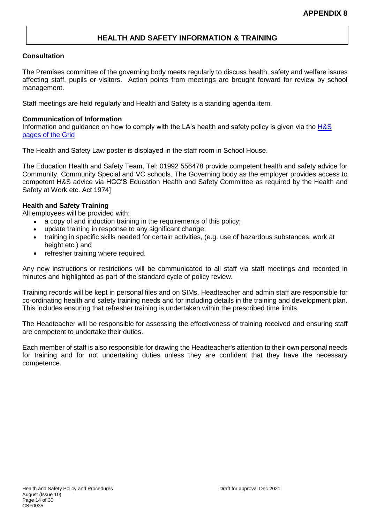### **HEALTH AND SAFETY INFORMATION & TRAINING**

#### **Consultation**

The Premises committee of the governing body meets regularly to discuss health, safety and welfare issues affecting staff, pupils or visitors. Action points from meetings are brought forward for review by school management.

Staff meetings are held regularly and Health and Safety is a standing agenda item.

#### **Communication of Information**

Information and quidance on how to comply with the LA's health and safety policy is given via the  $H\&S$ [pages of the Grid](https://thegrid.org.uk/health-and-safety-offsite-visits-premises/health-and-safety/health-and-safety-topics/fire-safety)

The Health and Safety Law poster is displayed in the staff room in School House.

The Education Health and Safety Team, Tel: 01992 556478 provide competent health and safety advice for Community, Community Special and VC schools. The Governing body as the employer provides access to competent H&S advice via HCC'S Education Health and Safety Committee as required by the Health and Safety at Work etc. Act 1974]

#### **Health and Safety Training**

All employees will be provided with:

- a copy of and induction training in the requirements of this policy:
- update training in response to any significant change;
- training in specific skills needed for certain activities, (e.g. use of hazardous substances, work at height etc.) and
- refresher training where required.

Any new instructions or restrictions will be communicated to all staff via staff meetings and recorded in minutes and highlighted as part of the standard cycle of policy review.

Training records will be kept in personal files and on SIMs. Headteacher and admin staff are responsible for co-ordinating health and safety training needs and for including details in the training and development plan. This includes ensuring that refresher training is undertaken within the prescribed time limits.

The Headteacher will be responsible for assessing the effectiveness of training received and ensuring staff are competent to undertake their duties.

Each member of staff is also responsible for drawing the Headteacher's attention to their own personal needs for training and for not undertaking duties unless they are confident that they have the necessary competence.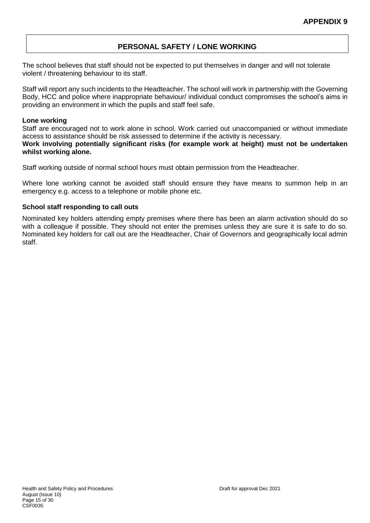# **PERSONAL SAFETY / LONE WORKING**

The school believes that staff should not be expected to put themselves in danger and will not tolerate violent / threatening behaviour to its staff.

Staff will report any such incidents to the Headteacher. The school will work in partnership with the Governing Body, HCC and police where inappropriate behaviour/ individual conduct compromises the school's aims in providing an environment in which the pupils and staff feel safe.

#### **Lone working**

Staff are encouraged not to work alone in school. Work carried out unaccompanied or without immediate access to assistance should be risk assessed to determine if the activity is necessary.

**Work involving potentially significant risks (for example work at height) must not be undertaken whilst working alone.**

Staff working outside of normal school hours must obtain permission from the Headteacher.

Where lone working cannot be avoided staff should ensure they have means to summon help in an emergency e.g. access to a telephone or mobile phone etc.

#### **School staff responding to call outs**

Nominated key holders attending empty premises where there has been an alarm activation should do so with a colleague if possible. They should not enter the premises unless they are sure it is safe to do so. Nominated key holders for call out are the Headteacher, Chair of Governors and geographically local admin staff.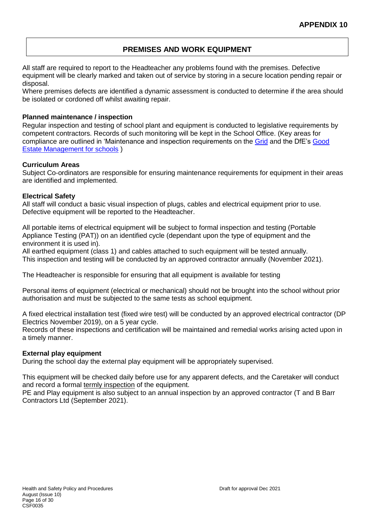### **PREMISES AND WORK EQUIPMENT**

All staff are required to report to the Headteacher any problems found with the premises. Defective equipment will be clearly marked and taken out of service by storing in a secure location pending repair or disposal.

Where premises defects are identified a dynamic assessment is conducted to determine if the area should be isolated or cordoned off whilst awaiting repair.

#### **Planned maintenance / inspection**

Regular inspection and testing of school plant and equipment is conducted to legislative requirements by competent contractors. Records of such monitoring will be kept in the School Office. (Key areas for compliance are outlined in 'Maintenance and inspection requirements on the [Grid](https://thegrid.org.uk/health-and-safety-offsite-visits-premises/health-and-safety/premises-and-site-related) and the DfE's [Good](https://www.gov.uk/guidance/good-estate-management-for-schools/health-and-safety)  [Estate Management for schools](https://www.gov.uk/guidance/good-estate-management-for-schools/health-and-safety) )

#### **Curriculum Areas**

Subject Co-ordinators are responsible for ensuring maintenance requirements for equipment in their areas are identified and implemented.

#### **Electrical Safety**

All staff will conduct a basic visual inspection of plugs, cables and electrical equipment prior to use. Defective equipment will be reported to the Headteacher.

All portable items of electrical equipment will be subject to formal inspection and testing (Portable Appliance Testing (PAT)) on an identified cycle (dependant upon the type of equipment and the environment it is used in).

All earthed equipment (class 1) and cables attached to such equipment will be tested annually. This inspection and testing will be conducted by an approved contractor annually (November 2021).

The Headteacher is responsible for ensuring that all equipment is available for testing

Personal items of equipment (electrical or mechanical) should not be brought into the school without prior authorisation and must be subjected to the same tests as school equipment.

A fixed electrical installation test (fixed wire test) will be conducted by an approved electrical contractor (DP Electrics November 2019), on a 5 year cycle.

Records of these inspections and certification will be maintained and remedial works arising acted upon in a timely manner.

#### **External play equipment**

During the school day the external play equipment will be appropriately supervised.

This equipment will be checked daily before use for any apparent defects, and the Caretaker will conduct and record a formal [termly inspection](http://www.thegrid.org.uk/info/healthandsafety/documents_manual/outdoor_play_equipment_checklist.doc) of the equipment.

PE and Play equipment is also subject to an annual inspection by an approved contractor (T and B Barr Contractors Ltd (September 2021).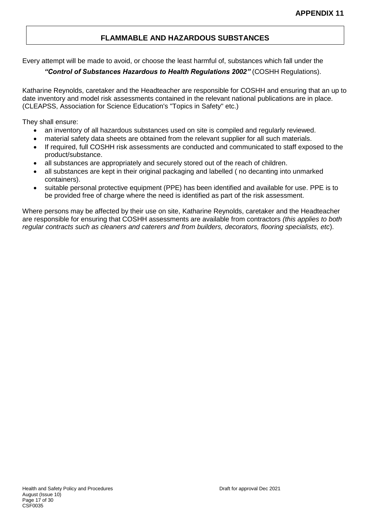# **FLAMMABLE AND HAZARDOUS SUBSTANCES**

Every attempt will be made to avoid, or choose the least harmful of, substances which fall under the

### *"Control of Substances Hazardous to Health Regulations 2002"* (COSHH Regulations).

Katharine Reynolds, caretaker and the Headteacher are responsible for COSHH and ensuring that an up to date inventory and model risk assessments contained in the relevant national publications are in place. (CLEAPSS, Association for Science Education's "Topics in Safety" etc.)

They shall ensure:

- an inventory of all hazardous substances used on site is compiled and regularly reviewed.
- material safety data sheets are obtained from the relevant supplier for all such materials.
- If required, full COSHH risk assessments are conducted and communicated to staff exposed to the product/substance.
- all substances are appropriately and securely stored out of the reach of children.
- all substances are kept in their original packaging and labelled ( no decanting into unmarked containers).
- suitable personal protective equipment (PPE) has been identified and available for use. PPE is to be provided free of charge where the need is identified as part of the risk assessment.

Where persons may be affected by their use on site, Katharine Reynolds, caretaker and the Headteacher are responsible for ensuring that COSHH assessments are available from contractors *(this applies to both regular contracts such as cleaners and caterers and from builders, decorators, flooring specialists, etc*).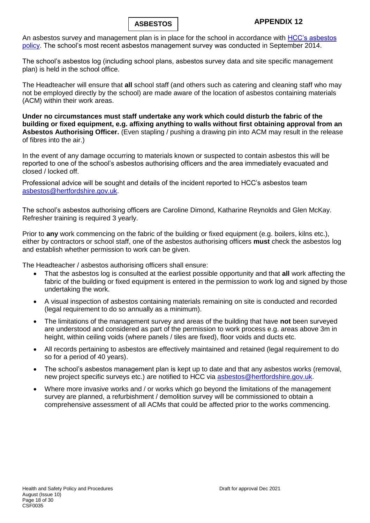

An asbestos survey and management plan is in place for the school in accordance with HCC's asbestos [policy.](http://www.thegrid.org.uk/info/healthandsafety/manual.shtml#A) The school's most recent asbestos management survey was conducted in September 2014.

The school's asbestos log (including school plans, asbestos survey data and site specific management plan) is held in the school office.

The Headteacher will ensure that **all** school staff (and others such as catering and cleaning staff who may not be employed directly by the school) are made aware of the location of asbestos containing materials (ACM) within their work areas.

**Under no circumstances must staff undertake any work which could disturb the fabric of the building or fixed equipment, e.g. affixing anything to walls without first obtaining approval from an Asbestos Authorising Officer.** (Even stapling / pushing a drawing pin into ACM may result in the release of fibres into the air.)

In the event of any damage occurring to materials known or suspected to contain asbestos this will be reported to one of the school's asbestos authorising officers and the area immediately evacuated and closed / locked off.

Professional advice will be sought and details of the incident reported to HCC's asbestos team [asbestos@hertfordshire.gov.uk.](mailto:asbestos@hertfordshire.gov.uk)

The school's asbestos authorising officers are Caroline Dimond, Katharine Reynolds and Glen McKay. Refresher training is required 3 yearly.

Prior to **any** work commencing on the fabric of the building or fixed equipment (e.g. boilers, kilns etc.), either by contractors or school staff, one of the asbestos authorising officers **must** check the asbestos log and establish whether permission to work can be given.

The Headteacher / asbestos authorising officers shall ensure:

- That the asbestos log is consulted at the earliest possible opportunity and that **all** work affecting the fabric of the building or fixed equipment is entered in the permission to work log and signed by those undertaking the work.
- A visual inspection of asbestos containing materials remaining on site is conducted and recorded (legal requirement to do so annually as a minimum).
- The limitations of the management survey and areas of the building that have **not** been surveyed are understood and considered as part of the permission to work process e.g. areas above 3m in height, within ceiling voids (where panels / tiles are fixed), floor voids and ducts etc.
- All records pertaining to asbestos are effectively maintained and retained (legal requirement to do so for a period of 40 years).
- The school's asbestos management plan is kept up to date and that any asbestos works (removal, new project specific surveys etc.) are notified to HCC via [asbestos@hertfordshire.gov.uk.](mailto:asbestos@hertfordshire.gov.uk)
- Where more invasive works and / or works which go beyond the limitations of the management survey are planned, a refurbishment / demolition survey will be commissioned to obtain a comprehensive assessment of all ACMs that could be affected prior to the works commencing.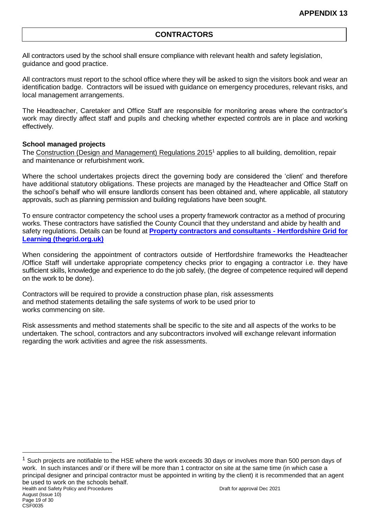### **CONTRACTORS**

All contractors used by the school shall ensure compliance with relevant health and safety legislation, guidance and good practice.

All contractors must report to the school office where they will be asked to sign the visitors book and wear an identification badge. Contractors will be issued with guidance on emergency procedures, relevant risks, and local management arrangements.

The Headteacher, Caretaker and Office Staff are responsible for monitoring areas where the contractor's work may directly affect staff and pupils and checking whether expected controls are in place and working effectively.

#### **School managed projects**

The [Construction \(Design and Management\) Regulations 2015](http://www.hse.gov.uk/construction/cdm/2015/index.htm?ebul=gd-cons/jun15&cr=1)<sup>1</sup> applies to all building, demolition, repair and maintenance or refurbishment work.

Where the school undertakes projects direct the governing body are considered the 'client' and therefore have additional statutory obligations. These projects are managed by the Headteacher and Office Staff on the school's behalf who will ensure landlords consent has been obtained and, where applicable, all statutory approvals, such as planning permission and building regulations have been sought.

To ensure contractor competency the school uses a property framework contractor as a method of procuring works. These contractors have satisfied the County Council that they understand and abide by health and safety regulations. Details can be found at **[Property contractors and consultants -](https://thegrid.org.uk/health-and-safety-offsite-visits-premises/premises-and-sites/property-contractors-and-consultants) Hertfordshire Grid for [Learning \(thegrid.org.uk\)](https://thegrid.org.uk/health-and-safety-offsite-visits-premises/premises-and-sites/property-contractors-and-consultants)**

When considering the appointment of contractors outside of Hertfordshire frameworks the Headteacher /Office Staff will undertake appropriate competency checks prior to engaging a contractor i.e. they have sufficient skills, knowledge and experience to do the job safely, (the degree of competence required will depend on the work to be done).

Contractors will be required to provide a construction phase plan, risk assessments and method statements detailing the safe systems of work to be used prior to works commencing on site.

Risk assessments and method statements shall be specific to the site and all aspects of the works to be undertaken. The school, contractors and any subcontractors involved will exchange relevant information regarding the work activities and agree the risk assessments.

1

 $1$  Such projects are notifiable to the HSE where the work exceeds 30 days or involves more than 500 person days of work. In such instances and/ or if there will be more than 1 contractor on site at the same time (in which case a principal designer and principal contractor must be appointed in writing by the client) it is recommended that an agent be used to work on the schools behalf.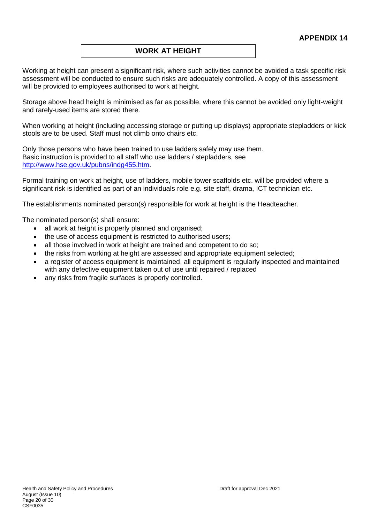### **WORK AT HEIGHT**

Working at height can present a significant risk, where such activities cannot be avoided a task specific risk assessment will be conducted to ensure such risks are adequately controlled. A copy of this assessment will be provided to employees authorised to work at height.

Storage above head height is minimised as far as possible, where this cannot be avoided only light-weight and rarely-used items are stored there.

When working at height (including accessing storage or putting up displays) appropriate stepladders or kick stools are to be used. Staff must not climb onto chairs etc.

Only those persons who have been trained to use ladders safely may use them. Basic instruction is provided to all staff who use ladders / stepladders, see [http://www.hse.gov.uk/pubns/indg455.htm.](http://www.hse.gov.uk/pubns/indg455.htm)

Formal training on work at height, use of ladders, mobile tower scaffolds etc. will be provided where a significant risk is identified as part of an individuals role e.g. site staff, drama, ICT technician etc.

The establishments nominated person(s) responsible for work at height is the Headteacher.

The nominated person(s) shall ensure:

- all work at height is properly planned and organised;
- the use of access equipment is restricted to authorised users;
- all those involved in work at height are trained and competent to do so;
- the risks from working at height are assessed and appropriate equipment selected;
- a register of access equipment is maintained, all equipment is regularly inspected and maintained with any defective equipment taken out of use until repaired / replaced
- any risks from fragile surfaces is properly controlled.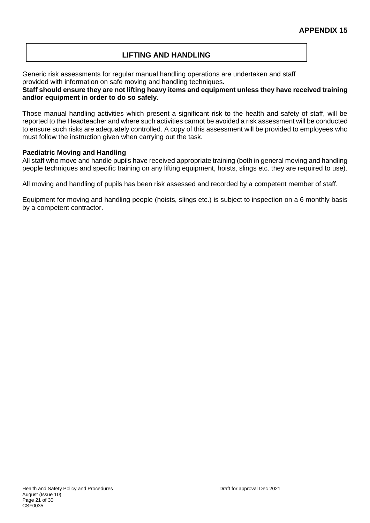# **LIFTING AND HANDLING**

Generic risk assessments for regular manual handling operations are undertaken and staff provided with information on safe moving and handling techniques.

**Staff should ensure they are not lifting heavy items and equipment unless they have received training and/or equipment in order to do so safely.**

Those manual handling activities which present a significant risk to the health and safety of staff, will be reported to the Headteacher and where such activities cannot be avoided a risk assessment will be conducted to ensure such risks are adequately controlled. A copy of this assessment will be provided to employees who must follow the instruction given when carrying out the task.

#### **Paediatric Moving and Handling**

All staff who move and handle pupils have received appropriate training (both in general moving and handling people techniques and specific training on any lifting equipment, hoists, slings etc. they are required to use).

All moving and handling of pupils has been risk assessed and recorded by a competent member of staff.

Equipment for moving and handling people (hoists, slings etc.) is subject to inspection on a 6 monthly basis by a competent contractor.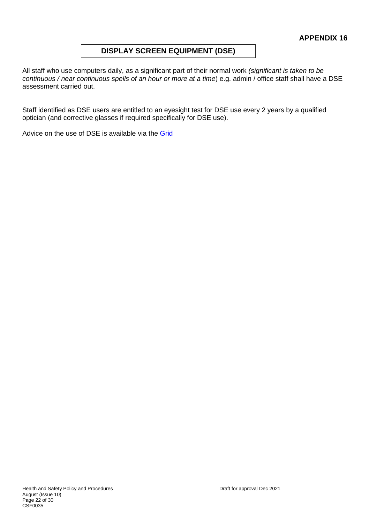### **DISPLAY SCREEN EQUIPMENT (DSE)**

All staff who use computers daily, as a significant part of their normal work *(significant is taken to be continuous / near continuous spells of an hour or more at a time*) e.g. admin / office staff shall have a DSE assessment carried out.

Staff identified as DSE users are entitled to an eyesight test for DSE use every 2 years by a qualified optician (and corrective glasses if required specifically for DSE use).

Advice on the use of DSE is available via the [Grid](https://thegrid.org.uk/health-and-safety-offsite-visits-premises/health-and-safety/health-and-safety-topics/display-screen-equipment)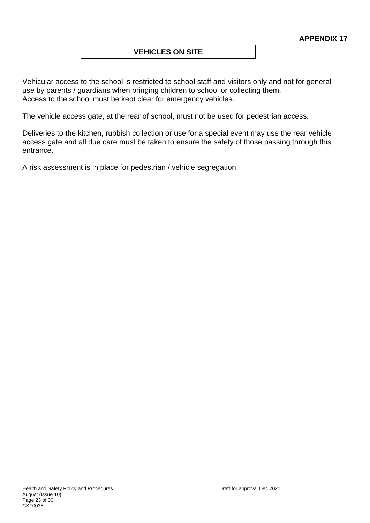### **VEHICLES ON SITE**

Vehicular access to the school is restricted to school staff and visitors only and not for general use by parents / guardians when bringing children to school or collecting them. Access to the school must be kept clear for emergency vehicles.

The vehicle access gate, at the rear of school, must not be used for pedestrian access.

Deliveries to the kitchen, rubbish collection or use for a special event may use the rear vehicle access gate and all due care must be taken to ensure the safety of those passing through this entrance.

A risk assessment is in place for pedestrian / vehicle segregation.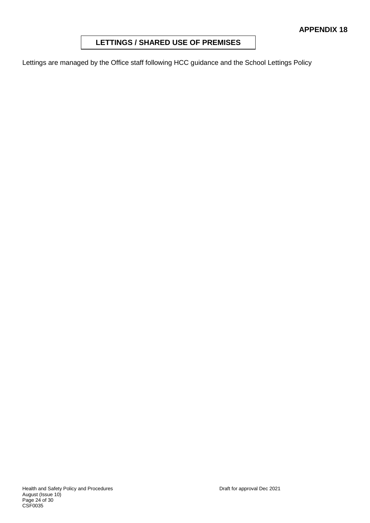### **LETTINGS / SHARED USE OF PREMISES**

Lettings are managed by the Office staff following HCC guidance and the School Lettings Policy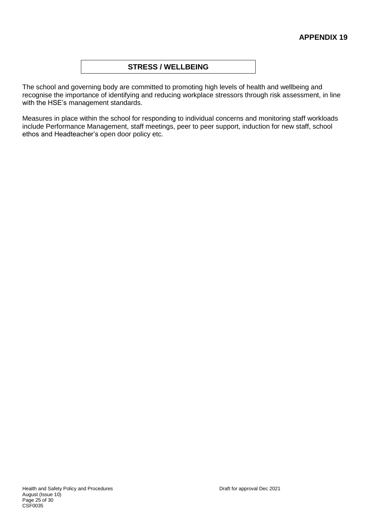### **STRESS / WELLBEING**

The school and governing body are committed to promoting high levels of health and wellbeing and recognise the importance of identifying and reducing workplace stressors through risk assessment, in line with the HSE's management standards.

Measures in place within the school for responding to individual concerns and monitoring staff workloads include Performance Management, staff meetings, peer to peer support, induction for new staff, school ethos and Headteacher's open door policy etc.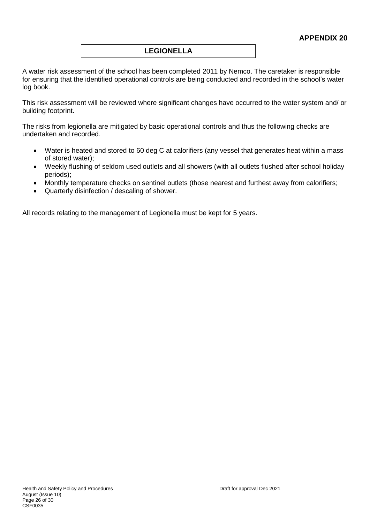### **LEGIONELLA**

A water risk assessment of the school has been completed 2011 by Nemco. The caretaker is responsible for ensuring that the identified operational controls are being conducted and recorded in the school's water log book.

This risk assessment will be reviewed where significant changes have occurred to the water system and/ or building footprint.

The risks from legionella are mitigated by basic operational controls and thus the following checks are undertaken and recorded.

- Water is heated and stored to 60 deg C at calorifiers (any vessel that generates heat within a mass of stored water);
- Weekly flushing of seldom used outlets and all showers (with all outlets flushed after school holiday periods);
- Monthly temperature checks on sentinel outlets (those nearest and furthest away from calorifiers;
- Quarterly disinfection / descaling of shower.

All records relating to the management of Legionella must be kept for 5 years.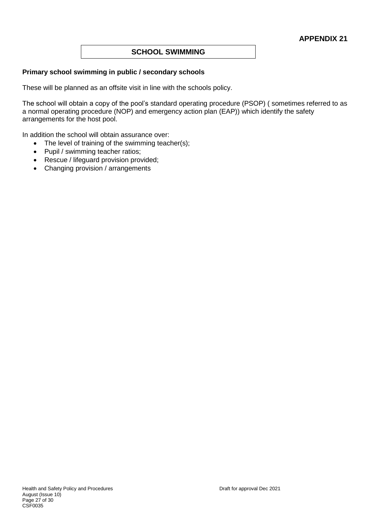# **SCHOOL SWIMMING**

#### **Primary school swimming in public / secondary schools**

These will be planned as an offsite visit in line with the schools policy.

The school will obtain a copy of the pool's standard operating procedure (PSOP) ( sometimes referred to as a normal operating procedure (NOP) and emergency action plan (EAP)) which identify the safety arrangements for the host pool.

In addition the school will obtain assurance over:

- The level of training of the swimming teacher(s);
- Pupil / swimming teacher ratios;
- Rescue / lifeguard provision provided;
- Changing provision / arrangements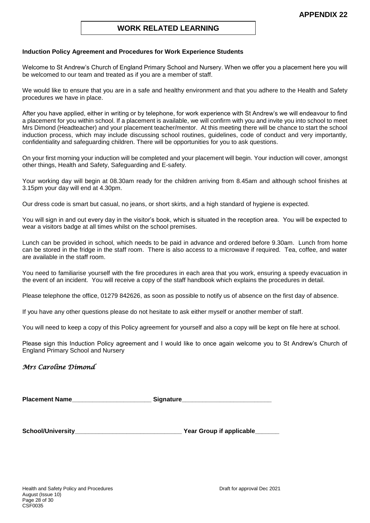#### **WORK RELATED LEARNING**

#### **Induction Policy Agreement and Procedures for Work Experience Students**

Welcome to St Andrew's Church of England Primary School and Nursery. When we offer you a placement here you will be welcomed to our team and treated as if you are a member of staff.

We would like to ensure that you are in a safe and healthy environment and that you adhere to the Health and Safety procedures we have in place.

After you have applied, either in writing or by telephone, for work experience with St Andrew's we will endeavour to find a placement for you within school. If a placement is available, we will confirm with you and invite you into school to meet Mrs Dimond (Headteacher) and your placement teacher/mentor. At this meeting there will be chance to start the school induction process, which may include discussing school routines, guidelines, code of conduct and very importantly, confidentiality and safeguarding children. There will be opportunities for you to ask questions.

On your first morning your induction will be completed and your placement will begin. Your induction will cover, amongst other things, Health and Safety, Safeguarding and E-safety.

Your working day will begin at 08.30am ready for the children arriving from 8.45am and although school finishes at 3.15pm your day will end at 4.30pm.

Our dress code is smart but casual, no jeans, or short skirts, and a high standard of hygiene is expected.

You will sign in and out every day in the visitor's book, which is situated in the reception area. You will be expected to wear a visitors badge at all times whilst on the school premises.

Lunch can be provided in school, which needs to be paid in advance and ordered before 9.30am. Lunch from home can be stored in the fridge in the staff room. There is also access to a microwave if required. Tea, coffee, and water are available in the staff room.

You need to familiarise yourself with the fire procedures in each area that you work, ensuring a speedy evacuation in the event of an incident. You will receive a copy of the staff handbook which explains the procedures in detail.

Please telephone the office, 01279 842626, as soon as possible to notify us of absence on the first day of absence.

If you have any other questions please do not hesitate to ask either myself or another member of staff.

You will need to keep a copy of this Policy agreement for yourself and also a copy will be kept on file here at school.

Please sign this Induction Policy agreement and I would like to once again welcome you to St Andrew's Church of England Primary School and Nursery

#### *Mrs Caroline Dimond*

**Placement Name** 

**School/University\_\_\_\_\_\_\_\_\_\_\_\_\_\_\_\_\_\_\_\_\_\_\_\_\_\_\_\_\_\_\_ Year Group if applicable\_\_\_\_\_\_\_**